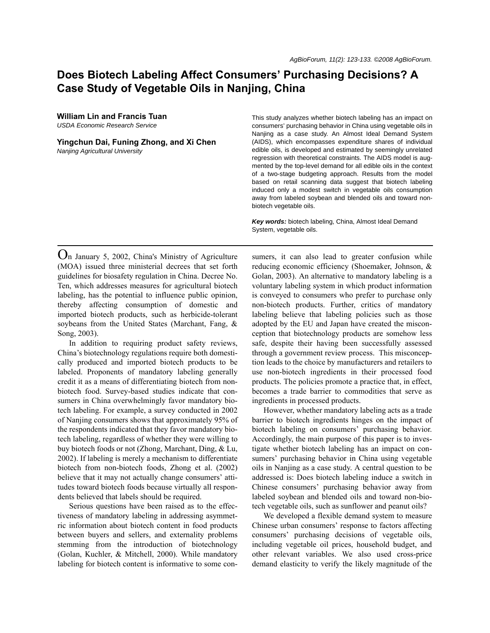# **Does Biotech Labeling Affect Consumers' Purchasing Decisions? A Case Study of Vegetable Oils in Nanjing, China**

**William Lin and Francis Tuan** *USDA Economic Research Service*

**Yingchun Dai, Funing Zhong, and Xi Chen** *Nanjing Agricultural University*

This study analyzes whether biotech labeling has an impact on consumers' purchasing behavior in China using vegetable oils in Nanjing as a case study. An Almost Ideal Demand System (AIDS), which encompasses expenditure shares of individual edible oils, is developed and estimated by seemingly unrelated regression with theoretical constraints. The AIDS model is augmented by the top-level demand for all edible oils in the context of a two-stage budgeting approach. Results from the model based on retail scanning data suggest that biotech labeling induced only a modest switch in vegetable oils consumption away from labeled soybean and blended oils and toward nonbiotech vegetable oils.

*Key words:* biotech labeling, China, Almost Ideal Demand System, vegetable oils.

On January 5, 2002, China's Ministry of Agriculture (MOA) issued three ministerial decrees that set forth guidelines for biosafety regulation in China. Decree No. Ten, which addresses measures for agricultural biotech labeling, has the potential to influence public opinion, thereby affecting consumption of domestic and imported biotech products, such as herbicide-tolerant soybeans from the United States (Marchant, Fang, & Song, 2003).

In addition to requiring product safety reviews, China's biotechnology regulations require both domestically produced and imported biotech products to be labeled. Proponents of mandatory labeling generally credit it as a means of differentiating biotech from nonbiotech food. Survey-based studies indicate that consumers in China overwhelmingly favor mandatory biotech labeling. For example, a survey conducted in 2002 of Nanjing consumers shows that approximately 95% of the respondents indicated that they favor mandatory biotech labeling, regardless of whether they were willing to buy biotech foods or not (Zhong, Marchant, Ding, & Lu, 2002). If labeling is merely a mechanism to differentiate biotech from non-biotech foods, Zhong et al. (2002) believe that it may not actually change consumers' attitudes toward biotech foods because virtually all respondents believed that labels should be required.

Serious questions have been raised as to the effectiveness of mandatory labeling in addressing asymmetric information about biotech content in food products between buyers and sellers, and externality problems stemming from the introduction of biotechnology (Golan, Kuchler, & Mitchell, 2000). While mandatory labeling for biotech content is informative to some consumers, it can also lead to greater confusion while reducing economic efficiency (Shoemaker, Johnson, & Golan, 2003). An alternative to mandatory labeling is a voluntary labeling system in which product information is conveyed to consumers who prefer to purchase only non-biotech products. Further, critics of mandatory labeling believe that labeling policies such as those adopted by the EU and Japan have created the misconception that biotechnology products are somehow less safe, despite their having been successfully assessed through a government review process. This misconception leads to the choice by manufacturers and retailers to use non-biotech ingredients in their processed food products. The policies promote a practice that, in effect, becomes a trade barrier to commodities that serve as ingredients in processed products.

However, whether mandatory labeling acts as a trade barrier to biotech ingredients hinges on the impact of biotech labeling on consumers' purchasing behavior. Accordingly, the main purpose of this paper is to investigate whether biotech labeling has an impact on consumers' purchasing behavior in China using vegetable oils in Nanjing as a case study. A central question to be addressed is: Does biotech labeling induce a switch in Chinese consumers' purchasing behavior away from labeled soybean and blended oils and toward non-biotech vegetable oils, such as sunflower and peanut oils?

We developed a flexible demand system to measure Chinese urban consumers' response to factors affecting consumers' purchasing decisions of vegetable oils, including vegetable oil prices, household budget, and other relevant variables. We also used cross-price demand elasticity to verify the likely magnitude of the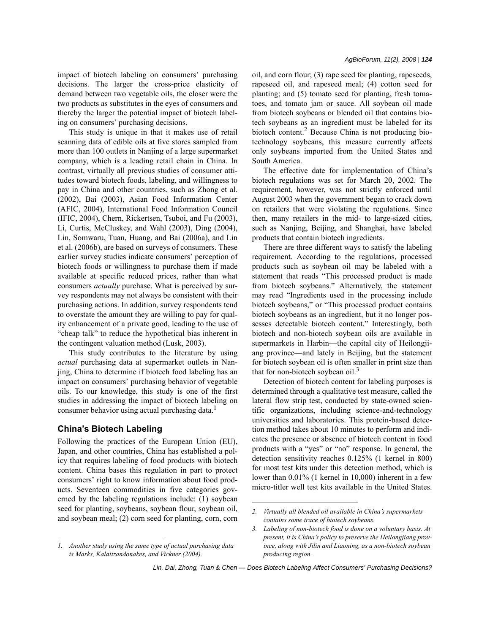impact of biotech labeling on consumers' purchasing decisions. The larger the cross-price elasticity of demand between two vegetable oils, the closer were the two products as substitutes in the eyes of consumers and thereby the larger the potential impact of biotech labeling on consumers' purchasing decisions.

This study is unique in that it makes use of retail scanning data of edible oils at five stores sampled from more than 100 outlets in Nanjing of a large supermarket company, which is a leading retail chain in China. In contrast, virtually all previous studies of consumer attitudes toward biotech foods, labeling, and willingness to pay in China and other countries, such as Zhong et al. (2002), Bai (2003), Asian Food Information Center (AFIC, 2004), International Food Information Council (IFIC, 2004), Chern, Rickertsen, Tsuboi, and Fu (2003), Li, Curtis, McCluskey, and Wahl (2003), Ding (2004), Lin, Somwaru, Tuan, Huang, and Bai (2006a), and Lin et al. (2006b), are based on surveys of consumers. These earlier survey studies indicate consumers' perception of biotech foods or willingness to purchase them if made available at specific reduced prices, rather than what consumers *actually* purchase. What is perceived by survey respondents may not always be consistent with their purchasing actions. In addition, survey respondents tend to overstate the amount they are willing to pay for quality enhancement of a private good, leading to the use of "cheap talk" to reduce the hypothetical bias inherent in the contingent valuation method (Lusk, 2003).

This study contributes to the literature by using *actual* purchasing data at supermarket outlets in Nanjing, China to determine if biotech food labeling has an impact on consumers' purchasing behavior of vegetable oils. To our knowledge, this study is one of the first studies in addressing the impact of biotech labeling on consumer behavior using actual purchasing data.<sup>1</sup>

# **China's Biotech Labeling**

Following the practices of the European Union (EU), Japan, and other countries, China has established a policy that requires labeling of food products with biotech content. China bases this regulation in part to protect consumers' right to know information about food products. Seventeen commodities in five categories governed by the labeling regulations include: (1) soybean seed for planting, soybeans, soybean flour, soybean oil, and soybean meal; (2) corn seed for planting, corn, corn oil, and corn flour; (3) rape seed for planting, rapeseeds, rapeseed oil, and rapeseed meal; (4) cotton seed for planting; and (5) tomato seed for planting, fresh tomatoes, and tomato jam or sauce. All soybean oil made from biotech soybeans or blended oil that contains biotech soybeans as an ingredient must be labeled for its biotech content.<sup>2</sup> Because China is not producing biotechnology soybeans, this measure currently affects only soybeans imported from the United States and South America.

The effective date for implementation of China's biotech regulations was set for March 20, 2002. The requirement, however, was not strictly enforced until August 2003 when the government began to crack down on retailers that were violating the regulations. Since then, many retailers in the mid- to large-sized cities, such as Nanjing, Beijing, and Shanghai, have labeled products that contain biotech ingredients.

There are three different ways to satisfy the labeling requirement. According to the regulations, processed products such as soybean oil may be labeled with a statement that reads "This processed product is made from biotech soybeans." Alternatively, the statement may read "Ingredients used in the processing include biotech soybeans," or "This processed product contains biotech soybeans as an ingredient, but it no longer possesses detectable biotech content." Interestingly, both biotech and non-biotech soybean oils are available in supermarkets in Harbin—the capital city of Heilongjiang province—and lately in Beijing, but the statement for biotech soybean oil is often smaller in print size than that for non-biotech soybean oil. $3$ 

Detection of biotech content for labeling purposes is determined through a qualitative test measure, called the lateral flow strip test, conducted by state-owned scientific organizations, including science-and-technology universities and laboratories. This protein-based detection method takes about 10 minutes to perform and indicates the presence or absence of biotech content in food products with a "yes" or "no" response. In general, the detection sensitivity reaches 0.125% (1 kernel in 800) for most test kits under this detection method, which is lower than 0.01% (1 kernel in 10,000) inherent in a few micro-titler well test kits available in the United States.

*<sup>1.</sup> Another study using the same type of actual purchasing data is Marks, Kalaitzandonakes, and Vickner (2004).*

*<sup>2.</sup> Virtually all blended oil available in China's supermarkets contains some trace of biotech soybeans.*

*<sup>3.</sup> Labeling of non-biotech food is done on a voluntary basis. At present, it is China's policy to preserve the Heilongjiang province, along with Jilin and Liaoning, as a non-biotech soybean producing region.*

*Lin, Dai, Zhong, Tuan & Chen — Does Biotech Labeling Affect Consumers' Purchasing Decisions?*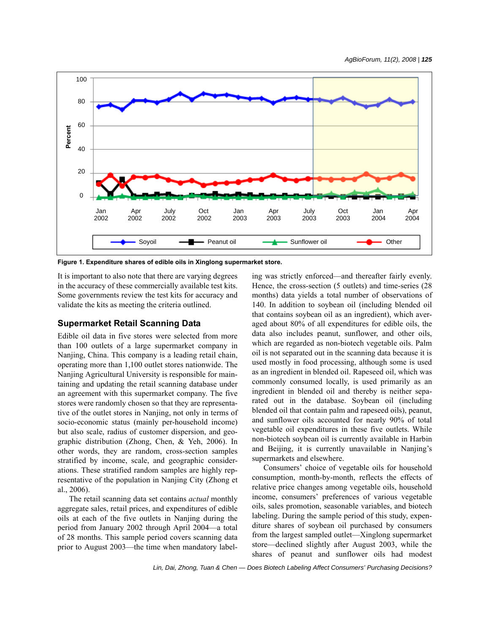

**Figure 1. Expenditure shares of edible oils in Xinglong supermarket store.**

It is important to also note that there are varying degrees in the accuracy of these commercially available test kits. Some governments review the test kits for accuracy and validate the kits as meeting the criteria outlined.

## **Supermarket Retail Scanning Data**

Edible oil data in five stores were selected from more than 100 outlets of a large supermarket company in Nanjing, China. This company is a leading retail chain, operating more than 1,100 outlet stores nationwide. The Nanjing Agricultural University is responsible for maintaining and updating the retail scanning database under an agreement with this supermarket company. The five stores were randomly chosen so that they are representative of the outlet stores in Nanjing, not only in terms of socio-economic status (mainly per-household income) but also scale, radius of customer dispersion, and geographic distribution (Zhong, Chen, & Yeh, 2006). In other words, they are random, cross-section samples stratified by income, scale, and geographic considerations. These stratified random samples are highly representative of the population in Nanjing City (Zhong et al., 2006).

The retail scanning data set contains *actual* monthly aggregate sales, retail prices, and expenditures of edible oils at each of the five outlets in Nanjing during the period from January 2002 through April 2004—a total of 28 months. This sample period covers scanning data prior to August 2003—the time when mandatory labeling was strictly enforced—and thereafter fairly evenly. Hence, the cross-section (5 outlets) and time-series (28 months) data yields a total number of observations of 140. In addition to soybean oil (including blended oil that contains soybean oil as an ingredient), which averaged about 80% of all expenditures for edible oils, the data also includes peanut, sunflower, and other oils, which are regarded as non-biotech vegetable oils. Palm oil is not separated out in the scanning data because it is used mostly in food processing, although some is used as an ingredient in blended oil. Rapeseed oil, which was commonly consumed locally, is used primarily as an ingredient in blended oil and thereby is neither separated out in the database. Soybean oil (including blended oil that contain palm and rapeseed oils), peanut, and sunflower oils accounted for nearly 90% of total vegetable oil expenditures in these five outlets. While non-biotech soybean oil is currently available in Harbin and Beijing, it is currently unavailable in Nanjing's supermarkets and elsewhere.

Consumers' choice of vegetable oils for household consumption, month-by-month, reflects the effects of relative price changes among vegetable oils, household income, consumers' preferences of various vegetable oils, sales promotion, seasonable variables, and biotech labeling. During the sample period of this study, expenditure shares of soybean oil purchased by consumers from the largest sampled outlet—Xinglong supermarket store—declined slightly after August 2003, while the shares of peanut and sunflower oils had modest

*Lin, Dai, Zhong, Tuan & Chen — Does Biotech Labeling Affect Consumers' Purchasing Decisions?*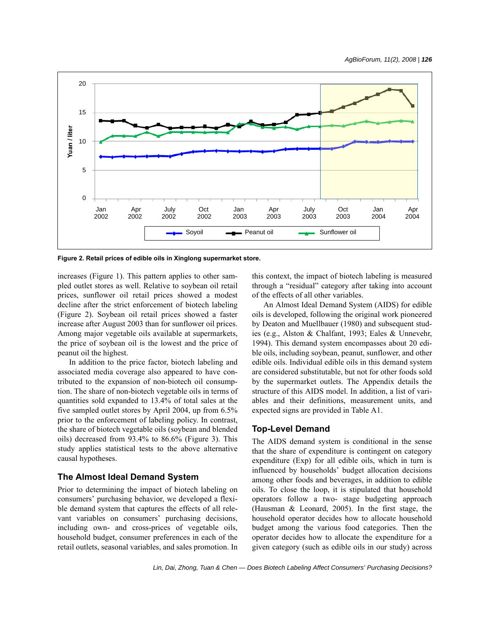

**Figure 2. Retail prices of edible oils in Xinglong supermarket store.**

increases (Figure 1). This pattern applies to other sampled outlet stores as well. Relative to soybean oil retail prices, sunflower oil retail prices showed a modest decline after the strict enforcement of biotech labeling (Figure 2). Soybean oil retail prices showed a faster increase after August 2003 than for sunflower oil prices. Among major vegetable oils available at supermarkets, the price of soybean oil is the lowest and the price of peanut oil the highest.

In addition to the price factor, biotech labeling and associated media coverage also appeared to have contributed to the expansion of non-biotech oil consumption. The share of non-biotech vegetable oils in terms of quantities sold expanded to 13.4% of total sales at the five sampled outlet stores by April 2004, up from 6.5% prior to the enforcement of labeling policy. In contrast, the share of biotech vegetable oils (soybean and blended oils) decreased from 93.4% to 86.6% (Figure 3). This study applies statistical tests to the above alternative causal hypotheses.

# **The Almost Ideal Demand System**

Prior to determining the impact of biotech labeling on consumers' purchasing behavior, we developed a flexible demand system that captures the effects of all relevant variables on consumers' purchasing decisions, including own- and cross-prices of vegetable oils, household budget, consumer preferences in each of the retail outlets, seasonal variables, and sales promotion. In this context, the impact of biotech labeling is measured through a "residual" category after taking into account of the effects of all other variables.

An Almost Ideal Demand System (AIDS) for edible oils is developed, following the original work pioneered by Deaton and Muellbauer (1980) and subsequent studies (e.g., Alston & Chalfant, 1993; Eales & Unnevehr, 1994). This demand system encompasses about 20 edible oils, including soybean, peanut, sunflower, and other edible oils. Individual edible oils in this demand system are considered substitutable, but not for other foods sold by the supermarket outlets. The Appendix details the structure of this AIDS model. In addition, a list of variables and their definitions, measurement units, and expected signs are provided in Table A1.

### **Top-Level Demand**

The AIDS demand system is conditional in the sense that the share of expenditure is contingent on category expenditure (Exp) for all edible oils, which in turn is influenced by households' budget allocation decisions among other foods and beverages, in addition to edible oils. To close the loop, it is stipulated that household operators follow a two- stage budgeting approach (Hausman & Leonard, 2005). In the first stage, the household operator decides how to allocate household budget among the various food categories. Then the operator decides how to allocate the expenditure for a given category (such as edible oils in our study) across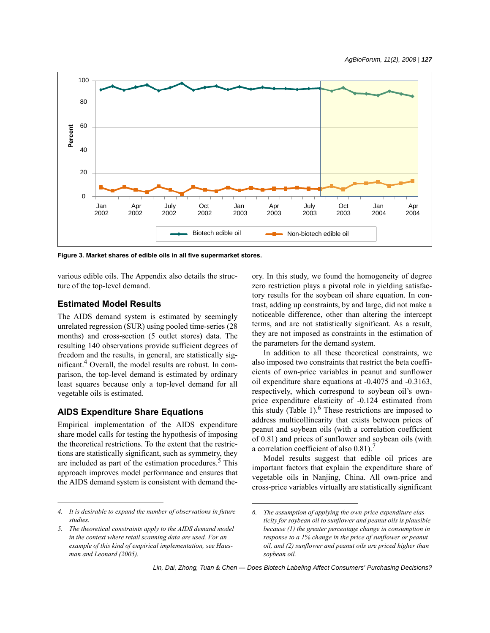

**Figure 3. Market shares of edible oils in all five supermarket stores.**

various edible oils. The Appendix also details the structure of the top-level demand.

### **Estimated Model Results**

The AIDS demand system is estimated by seemingly unrelated regression (SUR) using pooled time-series (28 months) and cross-section (5 outlet stores) data. The resulting 140 observations provide sufficient degrees of freedom and the results, in general, are statistically significant.4 Overall, the model results are robust. In comparison, the top-level demand is estimated by ordinary least squares because only a top-level demand for all vegetable oils is estimated.

#### **AIDS Expenditure Share Equations**

Empirical implementation of the AIDS expenditure share model calls for testing the hypothesis of imposing the theoretical restrictions. To the extent that the restrictions are statistically significant, such as symmetry, they are included as part of the estimation procedures.<sup>5</sup> This approach improves model performance and ensures that the AIDS demand system is consistent with demand the-

*4. It is desirable to expand the number of observations in future studies.*

ory. In this study, we found the homogeneity of degree zero restriction plays a pivotal role in yielding satisfactory results for the soybean oil share equation. In contrast, adding up constraints, by and large, did not make a noticeable difference, other than altering the intercept terms, and are not statistically significant. As a result, they are not imposed as constraints in the estimation of the parameters for the demand system.

In addition to all these theoretical constraints, we also imposed two constraints that restrict the beta coefficients of own-price variables in peanut and sunflower oil expenditure share equations at -0.4075 and -0.3163, respectively, which correspond to soybean oil's ownprice expenditure elasticity of -0.124 estimated from this study (Table 1).<sup>6</sup> These restrictions are imposed to address multicollinearity that exists between prices of peanut and soybean oils (with a correlation coefficient of 0.81) and prices of sunflower and soybean oils (with a correlation coefficient of also  $0.81$ ).<sup>7</sup>

Model results suggest that edible oil prices are important factors that explain the expenditure share of vegetable oils in Nanjing, China. All own-price and cross-price variables virtually are statistically significant

*<sup>5.</sup> The theoretical constraints apply to the AIDS demand model in the context where retail scanning data are used. For an example of this kind of empirical implementation, see Hausman and Leonard (2005).*

*<sup>6.</sup> The assumption of applying the own-price expenditure elasticity for soybean oil to sunflower and peanut oils is plausible because (1) the greater percentage change in consumption in response to a 1% change in the price of sunflower or peanut oil, and (2) sunflower and peanut oils are priced higher than soybean oil.*

*Lin, Dai, Zhong, Tuan & Chen — Does Biotech Labeling Affect Consumers' Purchasing Decisions?*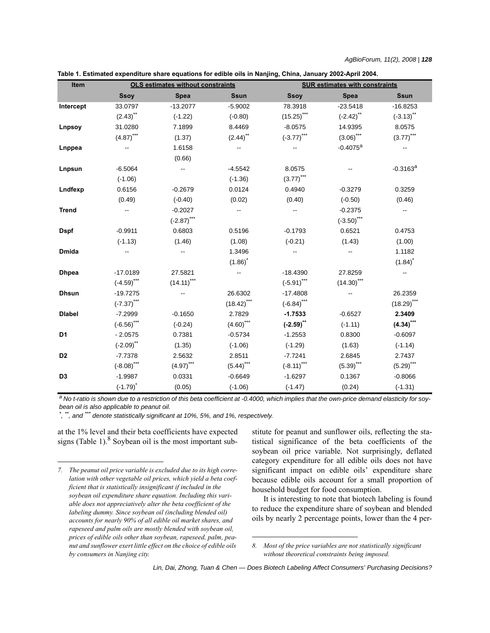| Table 1. Estimated expenditure share equations for edible oils in Nanjing, China, January 2002-April 2004. |  |  |
|------------------------------------------------------------------------------------------------------------|--|--|
|------------------------------------------------------------------------------------------------------------|--|--|

| Item           |               | <b>OLS estimates without constraints</b> |                          |                          | <b>SUR estimates with constraints</b> |                        |
|----------------|---------------|------------------------------------------|--------------------------|--------------------------|---------------------------------------|------------------------|
|                | <b>Ssoy</b>   | <b>Spea</b>                              | <b>Ssun</b>              | <b>Ssoy</b>              | <b>Spea</b>                           | <b>Ssun</b>            |
| Intercept      | 33.0797       | $-13.2077$                               | $-5.9002$                | 78.3918                  | $-23.5418$                            | $-16.8253$             |
|                | $(2.43)$ **   | $(-1.22)$                                | $(-0.80)$                | $(15.25)$ ***            | $(-2.42)$ **                          | $(-3.13)$ **           |
| Lnpsoy         | 31.0280       | 7.1899                                   | 8.4469                   | $-8.0575$                | 14.9395                               | 8.0575                 |
|                | $(4.87)$ ***  | (1.37)                                   | $(2.44)$ **              | $(-3.77)$ ***            | $(3.06)$ ***                          | $(3.77)$ ***           |
| Lnppea         |               | 1.6158                                   | $\overline{\phantom{a}}$ |                          | $-0.4075$ <sup>a</sup>                | --                     |
|                |               | (0.66)                                   |                          |                          |                                       |                        |
| Lnpsun         | $-6.5064$     |                                          | $-4.5542$                | 8.0575                   |                                       | $-0.3163$ <sup>a</sup> |
|                | $(-1.06)$     |                                          | $(-1.36)$                | $(3.77)$ ***             |                                       |                        |
| Lndfexp        | 0.6156        | $-0.2679$                                | 0.0124                   | 0.4940                   | $-0.3279$                             | 0.3259                 |
|                | (0.49)        | $(-0.40)$                                | (0.02)                   | (0.40)                   | $(-0.50)$                             | (0.46)                 |
| <b>Trend</b>   |               | $-0.2027$                                | $\qquad \qquad -$        | $\overline{\phantom{a}}$ | $-0.2375$                             | --                     |
|                |               | $(-2.87)$ ***                            |                          |                          | $(-3.50)$ ***                         |                        |
| <b>Dspf</b>    | $-0.9911$     | 0.6803                                   | 0.5196                   | $-0.1793$                | 0.6521                                | 0.4753                 |
|                | $(-1.13)$     | (1.46)                                   | (1.08)                   | $(-0.21)$                | (1.43)                                | (1.00)                 |
| <b>Dmida</b>   |               |                                          | 1.3496                   |                          |                                       | 1.1182                 |
|                |               |                                          | $(1.86)^*$               |                          |                                       | $(1.84)^*$             |
| <b>Dhpea</b>   | $-17.0189$    | 27.5821                                  |                          | $-18.4390$               | 27.8259                               |                        |
|                | $(-4.59)$ *** | $(14.11)$ ***                            |                          | $(-5.91)$ ***            | $(14.30)$ ***                         |                        |
| <b>Dhsun</b>   | $-19.7275$    |                                          | 26.6302                  | $-17.4808$               |                                       | 26.2359                |
|                | $(-7.37)$ *** |                                          | $(18.42)$ ***            | $(-6.84)$ ***            |                                       | $(18.29)$ ***          |
| <b>Dlabel</b>  | $-7.2999$     | $-0.1650$                                | 2.7829                   | $-1.7533$                | $-0.6527$                             | 2.3409                 |
|                | $(-6.56)$ *** | $(-0.24)$                                | $(4.60)$ ***             | $(-2.59)$ **             | $(-1.11)$                             | $(4.34)$ ***           |
| D <sub>1</sub> | $-2.0575$     | 0.7381                                   | $-0.5734$                | $-1.2553$                | 0.8300                                | $-0.6097$              |
|                | $(-2.09)$ **  | (1.35)                                   | $(-1.06)$                | $(-1.29)$                | (1.63)                                | $(-1.14)$              |
| D <sub>2</sub> | $-7.7378$     | 2.5632                                   | 2.8511                   | $-7.7241$                | 2.6845                                | 2.7437                 |
|                | $(-8.08)$ *** | $(4.97)$ ***                             | $(5.44)$ ***             | $(-8.11)$ ***            | $(5.39)$ ***                          | $(5.29)$ ***           |
| D <sub>3</sub> | $-1.9987$     | 0.0331                                   | $-0.6649$                | $-1.6297$                | 0.1367                                | $-0.8066$              |
|                | $(-1.79)^*$   | (0.05)                                   | $(-1.06)$                | $(-1.47)$                | (0.24)                                | $(-1.31)$              |

<sup>a</sup> No t-ratio is shown due to a restriction of this beta coefficient at -0.4000, which implies that the own-price demand elasticity for soy*bean oil is also applicable to peanut oil.*

*\* , \*\*, and \*\*\* denote statistically significant at 10%, 5%, and 1%, respectively.*

at the 1% level and their beta coefficients have expected signs (Table 1). $8$  Soybean oil is the most important substitute for peanut and sunflower oils, reflecting the statistical significance of the beta coefficients of the soybean oil price variable. Not surprisingly, deflated category expenditure for all edible oils does not have significant impact on edible oils' expenditure share because edible oils account for a small proportion of household budget for food consumption.

It is interesting to note that biotech labeling is found to reduce the expenditure share of soybean and blended oils by nearly 2 percentage points, lower than the 4 per-

*<sup>7.</sup> The peanut oil price variable is excluded due to its high correlation with other vegetable oil prices, which yield a beta coefficient that is statistically insignificant if included in the soybean oil expenditure share equation. Including this variable does not appreciatively alter the beta coefficient of the labeling dummy. Since soybean oil (including blended oil) accounts for nearly 90% of all edible oil market shares, and rapeseed and palm oils are mostly blended with soybean oil, prices of edible oils other than soybean, rapeseed, palm, peanut and sunflower exert little effect on the choice of edible oils by consumers in Nanjing city.*

*<sup>8.</sup> Most of the price variables are not statistically significant without theoretical constraints being imposed.*

*Lin, Dai, Zhong, Tuan & Chen — Does Biotech Labeling Affect Consumers' Purchasing Decisions?*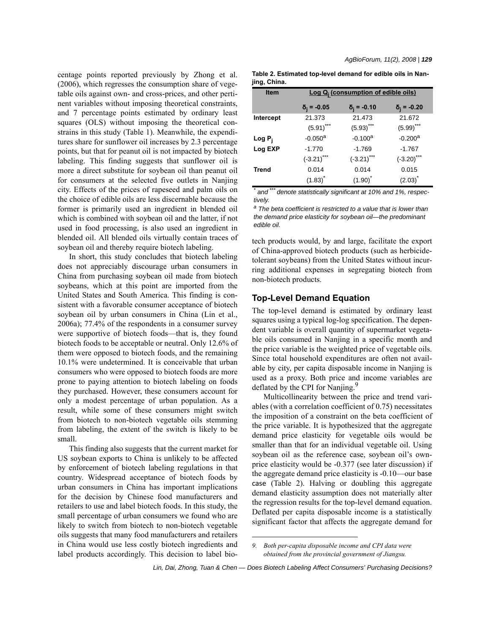centage points reported previously by Zhong et al. (2006), which regresses the consumption share of vegetable oils against own- and cross-prices, and other pertinent variables without imposing theoretical constraints, and 7 percentage points estimated by ordinary least squares (OLS) without imposing the theoretical constrains in this study (Table 1). Meanwhile, the expenditures share for sunflower oil increases by 2.3 percentage points, but that for peanut oil is not impacted by biotech labeling. This finding suggests that sunflower oil is more a direct substitute for soybean oil than peanut oil for consumers at the selected five outlets in Nanjing city. Effects of the prices of rapeseed and palm oils on the choice of edible oils are less discernable because the former is primarily used an ingredient in blended oil which is combined with soybean oil and the latter, if not used in food processing, is also used an ingredient in blended oil. All blended oils virtually contain traces of soybean oil and thereby require biotech labeling.

In short, this study concludes that biotech labeling does not appreciably discourage urban consumers in China from purchasing soybean oil made from biotech soybeans, which at this point are imported from the United States and South America. This finding is consistent with a favorable consumer acceptance of biotech soybean oil by urban consumers in China (Lin et al., 2006a); 77.4% of the respondents in a consumer survey were supportive of biotech foods—that is, they found biotech foods to be acceptable or neutral. Only 12.6% of them were opposed to biotech foods, and the remaining 10.1% were undetermined. It is conceivable that urban consumers who were opposed to biotech foods are more prone to paying attention to biotech labeling on foods they purchased. However, these consumers account for only a modest percentage of urban population. As a result, while some of these consumers might switch from biotech to non-biotech vegetable oils stemming from labeling, the extent of the switch is likely to be small.

This finding also suggests that the current market for US soybean exports to China is unlikely to be affected by enforcement of biotech labeling regulations in that country. Widespread acceptance of biotech foods by urban consumers in China has important implications for the decision by Chinese food manufacturers and retailers to use and label biotech foods. In this study, the small percentage of urban consumers we found who are likely to switch from biotech to non-biotech vegetable oils suggests that many food manufacturers and retailers in China would use less costly biotech ingredients and label products accordingly. This decision to label bio-

| Table 2. Estimated top-level demand for edible oils in Nan- |  |  |
|-------------------------------------------------------------|--|--|
| jing, China.                                                |  |  |

| <b>Item</b>  |                    | Log Q <sub>i</sub> (consumption of edible oils) |                     |  |  |
|--------------|--------------------|-------------------------------------------------|---------------------|--|--|
|              | $\delta_i = -0.05$ | $\delta_i = -0.10$                              | $\delta_i = -0.20$  |  |  |
| Intercept    | 21.373             | 21.473                                          | 21.672              |  |  |
|              | $(5.91)$ ***       | $(5.93)$ ***                                    | $(5.99)$ ***        |  |  |
| $Log P_i$    | $-0.050a$          | $-0.100a$                                       | $-0.200a$           |  |  |
| Log EXP      | $-1.770$           | $-1.769$                                        | $-1.767$            |  |  |
|              | $(-3.21)$ ***      | $(-3.21)$ ***                                   | $(-3.20)$ ***       |  |  |
| <b>Trend</b> | 0.014              | 0.014                                           | 0.015               |  |  |
|              | $(1.83)^{^*}$      | $(1.90)^{^*}$                                   | $(2.03)^{^{\circ}}$ |  |  |

*\* and \*\*\* denote statistically significant at 10% and 1%, respectively.*

*a The beta coefficient is restricted to a value that is lower than the demand price elasticity for soybean oil—the predominant edible oil.*

tech products would, by and large, facilitate the export of China-approved biotech products (such as herbicidetolerant soybeans) from the United States without incurring additional expenses in segregating biotech from non-biotech products.

### **Top-Level Demand Equation**

The top-level demand is estimated by ordinary least squares using a typical log-log specification. The dependent variable is overall quantity of supermarket vegetable oils consumed in Nanjing in a specific month and the price variable is the weighted price of vegetable oils. Since total household expenditures are often not available by city, per capita disposable income in Nanjing is used as a proxy. Both price and income variables are deflated by the CPI for Nanjing.<sup>5</sup>

Multicollinearity between the price and trend variables (with a correlation coefficient of 0.75) necessitates the imposition of a constraint on the beta coefficient of the price variable. It is hypothesized that the aggregate demand price elasticity for vegetable oils would be smaller than that for an individual vegetable oil. Using soybean oil as the reference case, soybean oil's ownprice elasticity would be -0.377 (see later discussion) if the aggregate demand price elasticity is -0.10—our base case (Table 2). Halving or doubling this aggregate demand elasticity assumption does not materially alter the regression results for the top-level demand equation. Deflated per capita disposable income is a statistically significant factor that affects the aggregate demand for

*Lin, Dai, Zhong, Tuan & Chen — Does Biotech Labeling Affect Consumers' Purchasing Decisions?*

*<sup>9.</sup> Both per-capita disposable income and CPI data were obtained from the provincial government of Jiangsu.*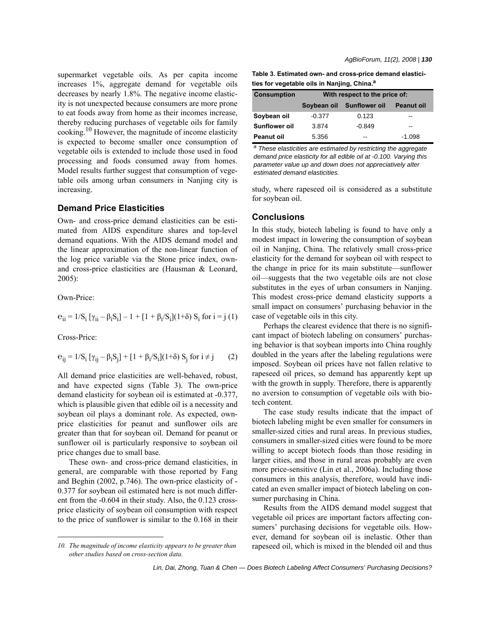supermarket vegetable oils. As per capita income increases 1%, aggregate demand for vegetable oils decreases by nearly 1.8%. The negative income elasticity is not unexpected because consumers are more prone to eat foods away from home as their incomes increase, thereby reducing purchases of vegetable oils for family cooking.10 However, the magnitude of income elasticity is expected to become smaller once consumption of vegetable oils is extended to include those used in food processing and foods consumed away from homes. Model results further suggest that consumption of vegetable oils among urban consumers in Nanjing city is increasing.

# **Demand Price Elasticities**

Own- and cross-price demand elasticities can be estimated from AIDS expenditure shares and top-level demand equations. With the AIDS demand model and the linear approximation of the non-linear function of the log price variable via the Stone price index, ownand cross-price elasticities are (Hausman & Leonard, 2005):

Own-Price:

$$
e_{ii} = 1/S_i [ \gamma_{ii} - \beta_i S_i ] - 1 + [1 + \beta_i/S_i](1+\delta) S_i
$$
 for  $i = j (1)$ 

Cross-Price:

$$
e_{ij} = 1/S_i [\gamma_{ij} - \beta_i S_j] + [1 + \beta_i/S_i](1 + \delta) S_j \text{ for } i \neq j \qquad (2)
$$

All demand price elasticities are well-behaved, robust, and have expected signs (Table 3). The own-price demand elasticity for soybean oil is estimated at -0.377, which is plausible given that edible oil is a necessity and soybean oil plays a dominant role. As expected, ownprice elasticities for peanut and sunflower oils are greater than that for soybean oil. Demand for peanut or sunflower oil is particularly responsive to soybean oil price changes due to small base.

These own- and cross-price demand elasticities, in general, are comparable with those reported by Fang and Beghin (2002, p.746). The own-price elasticity of - 0.377 for soybean oil estimated here is not much different from the -0.604 in their study. Also, the 0.123 crossprice elasticity of soybean oil consumption with respect to the price of sunflower is similar to the 0.168 in their

*AgBioForum, 11(2), 2008 | 130*

**Table 3. Estimated own- and cross-price demand elasticities for vegetable oils in Nanjing, China.a**

| <b>Consumption</b>   | With respect to the price of: |                      |            |  |
|----------------------|-------------------------------|----------------------|------------|--|
|                      | Soybean oil                   | <b>Sunflower oil</b> | Peanut oil |  |
| Soybean oil          | $-0.377$                      | 0.123                | --         |  |
| <b>Sunflower oil</b> | 3.874                         | $-0.849$             | --         |  |
| <b>Peanut oil</b>    | 5.356                         | --                   | -1.098     |  |

*a These elasticities are estimated by restricting the aggregate demand price elasticity for all edible oil at -0.100. Varying this parameter value up and down does not appreciatively alter estimated demand elasticities.*

study, where rapeseed oil is considered as a substitute for soybean oil.

#### **Conclusions**

In this study, biotech labeling is found to have only a modest impact in lowering the consumption of soybean oil in Nanjing, China. The relatively small cross-price elasticity for the demand for soybean oil with respect to the change in price for its main substitute—sunflower oil—suggests that the two vegetable oils are not close substitutes in the eyes of urban consumers in Nanjing. This modest cross-price demand elasticity supports a small impact on consumers' purchasing behavior in the case of vegetable oils in this city.

Perhaps the clearest evidence that there is no significant impact of biotech labeling on consumers' purchasing behavior is that soybean imports into China roughly doubled in the years after the labeling regulations were imposed. Soybean oil prices have not fallen relative to rapeseed oil prices, so demand has apparently kept up with the growth in supply. Therefore, there is apparently no aversion to consumption of vegetable oils with biotech content.

The case study results indicate that the impact of biotech labeling might be even smaller for consumers in smaller-sized cities and rural areas. In previous studies, consumers in smaller-sized cities were found to be more willing to accept biotech foods than those residing in larger cities, and those in rural areas probably are even more price-sensitive (Lin et al., 2006a). Including those consumers in this analysis, therefore, would have indicated an even smaller impact of biotech labeling on consumer purchasing in China.

Results from the AIDS demand model suggest that vegetable oil prices are important factors affecting consumers' purchasing decisions for vegetable oils. However, demand for soybean oil is inelastic. Other than *10. The magnitude of income elasticity appears to be greater than* rapeseed oil, which is mixed in the blended oil and thus

*other studies based on cross-section data.*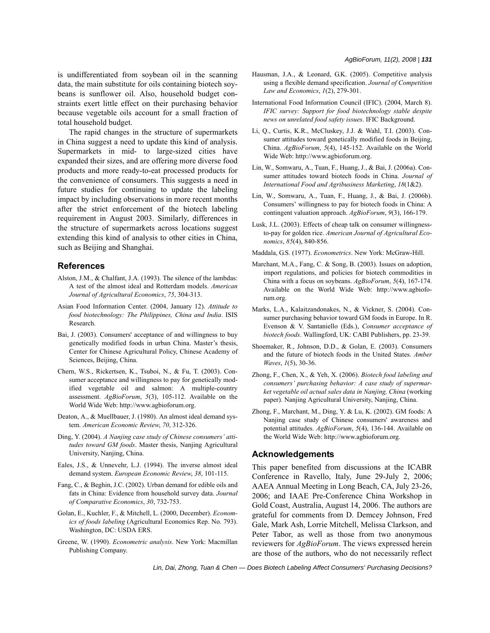is undifferentiated from soybean oil in the scanning data, the main substitute for oils containing biotech soybeans is sunflower oil. Also, household budget constraints exert little effect on their purchasing behavior because vegetable oils account for a small fraction of total household budget.

The rapid changes in the structure of supermarkets in China suggest a need to update this kind of analysis. Supermarkets in mid- to large-sized cities have expanded their sizes, and are offering more diverse food products and more ready-to-eat processed products for the convenience of consumers. This suggests a need in future studies for continuing to update the labeling impact by including observations in more recent months after the strict enforcement of the biotech labeling requirement in August 2003. Similarly, differences in the structure of supermarkets across locations suggest extending this kind of analysis to other cities in China, such as Beijing and Shanghai.

#### **References**

- Alston, J.M., & Chalfant, J.A. (1993). The silence of the lambdas: A test of the almost ideal and Rotterdam models. *American Journal of Agricultural Economics*, *75*, 304-313.
- Asian Food Information Center. (2004, January 12). *Attitude to food biotechnology: The Philippines, China and India*. ISIS Research.
- Bai, J. (2003). Consumers' acceptance of and willingness to buy genetically modified foods in urban China. Master's thesis, Center for Chinese Agricultural Policy, Chinese Academy of Sciences, Beijing, China.
- Chern, W.S., Rickertsen, K., Tsuboi, N., & Fu, T. (2003). Consumer acceptance and willingness to pay for genetically modified vegetable oil and salmon: A multiple-country assessment. *AgBioForum*, *5*(3), 105-112. Available on the World Wide Web: http://www.agbioforum.org.
- Deaton, A., & Muellbauer, J. (1980). An almost ideal demand system. *American Economic Review*, *70*, 312-326.
- Ding, Y. (2004). *A Nanjing case study of Chinese consumers' attitudes toward GM foods*. Master thesis, Nanjing Agricultural University, Nanjing, China.
- Eales, J.S., & Unnevehr, L.J. (1994). The inverse almost ideal demand system. *European Economic Review*, *38*, 101-115.
- Fang, C., & Beghin, J.C. (2002). Urban demand for edible oils and fats in China: Evidence from household survey data. *Journal of Comparative Economics*, *30*, 732-753.
- Golan, E., Kuchler, F., & Mitchell, L. (2000, December). *Economics of foods labeling* (Agricultural Economics Rep. No. 793). Washington, DC: USDA ERS.
- Greene, W. (1990). *Econometric analysis*. New York: Macmillan Publishing Company.
- Hausman, J.A., & Leonard, G.K. (2005). Competitive analysis using a flexible demand specification. *Journal of Competition Law and Economics*, *1*(2), 279-301.
- International Food Information Council (IFIC). (2004, March 8). *IFIC survey: Support for food biotechnology stable despite news on unrelated food safety issues*. IFIC Background.
- Li, Q., Curtis, K.R., McCluskey, J.J. & Wahl, T.I. (2003). Consumer attitudes toward genetically modified foods in Beijing, China. *AgBioForum*, *5*(4), 145-152. Available on the World Wide Web: http://www.agbioforum.org.
- Lin, W., Somwaru, A., Tuan, F., Huang, J., & Bai, J. (2006a). Consumer attitudes toward biotech foods in China. *Journal of International Food and Agribusiness Marketing*, *18*(1&2).
- Lin, W., Somwaru, A., Tuan, F., Huang, J., & Bai, J. (2006b). Consumers' willingness to pay for biotech foods in China: A contingent valuation approach. *AgBioForum*, *9*(3), 166-179.
- Lusk, J.L. (2003). Effects of cheap talk on consumer willingnessto-pay for golden rice. *American Journal of Agricultural Economics*, *85*(4), 840-856.

Maddala, G.S. (1977). *Econometrics*. New York: McGraw-Hill.

- Marchant, M.A., Fang, C. & Song, B. (2003). Issues on adoption, import regulations, and policies for biotech commodities in China with a focus on soybeans. *AgBioForum*, *5*(4), 167-174. Available on the World Wide Web: http://www.agbioforum.org.
- Marks, L.A., Kalaitzandonakes, N., & Vickner, S. (2004). Consumer purchasing behavior toward GM foods in Europe. In R. Evenson & V. Santaniello (Eds.), *Consumer acceptance of biotech foods*. Wallingford, UK: CABI Publishers, pp. 23-39.
- Shoemaker, R., Johnson, D.D., & Golan, E. (2003). Consumers and the future of biotech foods in the United States. *Amber Waves*, *1*(5), 30-36.
- Zhong, F., Chen, X., & Yeh, X. (2006). *Biotech food labeling and consumers' purchasing behavior: A case study of supermarket vegetable oil actual sales data in Nanjing, China* (working paper). Nanjing Agricultural University, Nanjing, China.
- Zhong, F., Marchant, M., Ding, Y. & Lu, K. (2002). GM foods: A Nanjing case study of Chinese consumers' awareness and potential attitudes. *AgBioForum*, *5*(4), 136-144. Available on the World Wide Web: http://www.agbioforum.org.

#### **Acknowledgements**

This paper benefited from discussions at the ICABR Conference in Ravello, Italy, June 29-July 2, 2006; AAEA Annual Meeting in Long Beach, CA, July 23-26, 2006; and IAAE Pre-Conference China Workshop in Gold Coast, Australia, August 14, 2006. The authors are grateful for comments from D. Demcey Johnson, Fred Gale, Mark Ash, Lorrie Mitchell, Melissa Clarkson, and Peter Tabor, as well as those from two anonymous reviewers for *AgBioForum*. The views expressed herein are those of the authors, who do not necessarily reflect

*Lin, Dai, Zhong, Tuan & Chen — Does Biotech Labeling Affect Consumers' Purchasing Decisions?*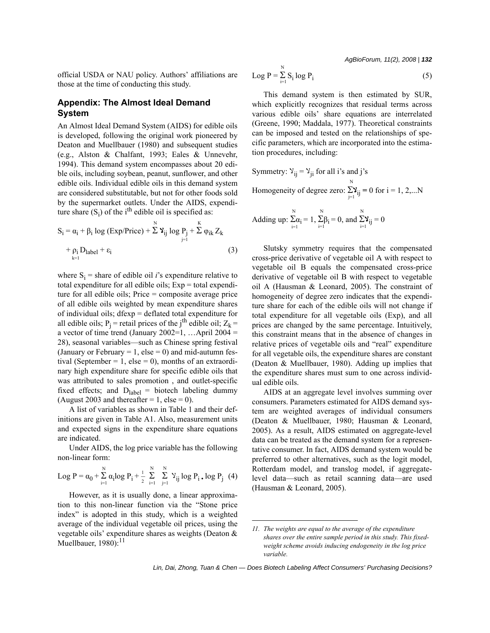*AgBioForum, 11(2), 2008 | 132*

official USDA or NAU policy. Authors' affiliations are those at the time of conducting this study.

# **Appendix: The Almost Ideal Demand System**

An Almost Ideal Demand System (AIDS) for edible oils is developed, following the original work pioneered by Deaton and Muellbauer (1980) and subsequent studies (e.g., Alston & Chalfant, 1993; Eales & Unnevehr, 1994). This demand system encompasses about 20 edible oils, including soybean, peanut, sunflower, and other edible oils. Individual edible oils in this demand system are considered substitutable, but not for other foods sold by the supermarket outlets. Under the AIDS, expenditure share  $(S_i)$  of the i<sup>th</sup> edible oil is specified as:

$$
S_{i} = \alpha_{i} + \beta_{i} \log (Exp/Price) + \sum_{j=1}^{N} \mathbf{Y}_{ij} \log P_{j} + \sum_{j=1}^{K} \varphi_{ik} Z_{k}
$$
  
+  $\rho_{i} D_{label} + \varepsilon_{i}$  (3)

where  $S_i$  = share of edible oil *i*'s expenditure relative to total expenditure for all edible oils; Exp = total expenditure for all edible oils; Price = composite average price of all edible oils weighted by mean expenditure shares of individual oils; dfexp = deflated total expenditure for all edible oils;  $P_i$  = retail prices of the j<sup>th</sup> edible oil;  $Z_k$  = a vector of time trend (January 2002=1, ... April 2004 = 28), seasonal variables—such as Chinese spring festival (January or February  $= 1$ , else  $= 0$ ) and mid-autumn festival (September = 1, else = 0), months of an extraordinary high expenditure share for specific edible oils that was attributed to sales promotion , and outlet-specific fixed effects; and  $D_{label}$  = biotech labeling dummy (August 2003 and thereafter  $= 1$ , else  $= 0$ ).

A list of variables as shown in Table 1 and their definitions are given in Table A1. Also, measurement units and expected signs in the expenditure share equations are indicated.

Under AIDS, the log price variable has the following non-linear form:

Log P = 
$$
\alpha_0 + \sum_{i=1}^{N} \alpha_i \log P_i + \frac{1}{2} \sum_{i=1}^{N} \sum_{j=1}^{N} Y_{ij} \log P_i \cdot \log P_j
$$
 (4)

However, as it is usually done, a linear approximation to this non-linear function via the "Stone price index" is adopted in this study, which is a weighted average of the individual vegetable oil prices, using the vegetable oils' expenditure shares as weights (Deaton & Muellbauer,  $1980$ <sup>11</sup>

$$
Log P = \sum_{i=1}^{N} S_i log P_i
$$
 (5)

This demand system is then estimated by SUR, which explicitly recognizes that residual terms across various edible oils' share equations are interrelated (Greene, 1990; Maddala, 1977). Theoretical constraints can be imposed and tested on the relationships of specific parameters, which are incorporated into the estimation procedures, including:

Symmetry: 
$$
Y_{ij} = Y_{ji}
$$
 for all i's and j's  
Homogeneity of degree zero:  $\sum_{j=1}^{N} Y_{ij} = 0$  for i = 1, 2,...N

Adding up: 
$$
\sum_{i=1}^{N} \alpha_i = 1
$$
,  $\sum_{i=1}^{N} \beta_i = 0$ , and  $\sum_{i=1}^{N} \mathbf{Y}_{ij} = 0$ 

Slutsky symmetry requires that the compensated cross-price derivative of vegetable oil A with respect to vegetable oil B equals the compensated cross-price derivative of vegetable oil B with respect to vegetable oil A (Hausman & Leonard, 2005). The constraint of homogeneity of degree zero indicates that the expenditure share for each of the edible oils will not change if total expenditure for all vegetable oils (Exp), and all prices are changed by the same percentage. Intuitively, this constraint means that in the absence of changes in relative prices of vegetable oils and "real" expenditure for all vegetable oils, the expenditure shares are constant (Deaton & Muellbauer, 1980). Adding up implies that the expenditure shares must sum to one across individual edible oils.

AIDS at an aggregate level involves summing over consumers. Parameters estimated for AIDS demand system are weighted averages of individual consumers (Deaton & Muellbauer, 1980; Hausman & Leonard, 2005). As a result, AIDS estimated on aggregate-level data can be treated as the demand system for a representative consumer. In fact, AIDS demand system would be preferred to other alternatives, such as the logit model, Rotterdam model, and translog model, if aggregatelevel data—such as retail scanning data—are used (Hausman & Leonard, 2005).

*<sup>11.</sup> The weights are equal to the average of the expenditure shares over the entire sample period in this study. This fixedweight scheme avoids inducing endogeneity in the log price variable.*

*Lin, Dai, Zhong, Tuan & Chen — Does Biotech Labeling Affect Consumers' Purchasing Decisions?*